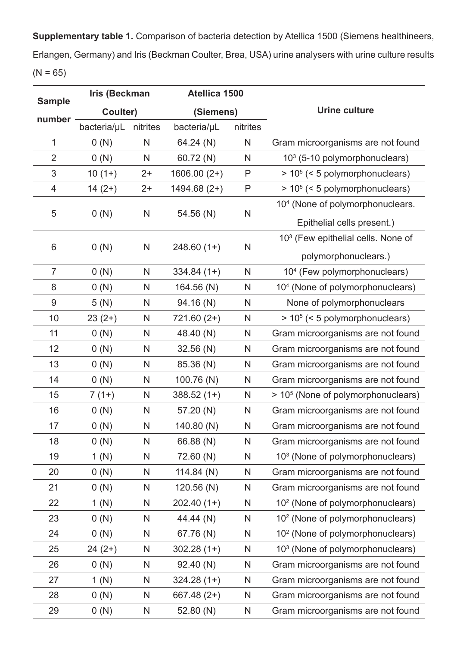**Supplementary table 1.** Comparison of bacteria detection by Atellica 1500 (Siemens healthineers, Erlangen, Germany) and Iris (Beckman Coulter, Brea, USA) urine analysers with urine culture results  $(N = 65)$ 

| <b>Sample</b>  | <b>Iris (Beckman</b> |              | Atellica 1500 |              |                                                |
|----------------|----------------------|--------------|---------------|--------------|------------------------------------------------|
|                | Coulter)             |              | (Siemens)     |              | <b>Urine culture</b>                           |
| number         | bacteria/µL          | nitrites     | bacteria/µL   | nitrites     |                                                |
| 1              | 0(N)                 | $\mathsf{N}$ | 64.24 (N)     | N            | Gram microorganisms are not found              |
| $\overline{2}$ | 0(N)                 | $\mathsf{N}$ | 60.72 (N)     | $\mathsf{N}$ | 10 <sup>3</sup> (5-10 polymorphonuclears)      |
| 3              | $10(1+)$             | $2+$         | $1606.00(2+)$ | P            | $> 105$ (< 5 polymorphonuclears)               |
| 4              | $14(2+)$             | $2+$         | $1494.68(2+)$ | P            | $> 105$ (< 5 polymorphonuclears)               |
|                |                      |              |               |              | 10 <sup>4</sup> (None of polymorphonuclears.   |
| 5              | 0(N)                 | N            | 54.56 (N)     | N            | Epithelial cells present.)                     |
|                |                      |              |               |              | 10 <sup>3</sup> (Few epithelial cells. None of |
| $6\,$          | 0(N)                 | $\mathsf{N}$ | $248.60(1+)$  | $\mathsf{N}$ | polymorphonuclears.)                           |
| $\overline{7}$ | 0(N)                 | N            | $334.84(1+)$  | N            | 10 <sup>4</sup> (Few polymorphonuclears)       |
| 8              | 0(N)                 | N            | 164.56 (N)    | $\mathsf{N}$ | 10 <sup>4</sup> (None of polymorphonuclears)   |
| 9              | 5(N)                 | N            | 94.16 (N)     | $\mathsf{N}$ | None of polymorphonuclears                     |
| 10             | $23(2+)$             | N            | $721.60(2+)$  | N            | $> 105$ (< 5 polymorphonuclears)               |
| 11             | 0(N)                 | N            | 48.40 (N)     | N            | Gram microorganisms are not found              |
| 12             | 0(N)                 | N            | 32.56(N)      | N            | Gram microorganisms are not found              |
| 13             | 0(N)                 | N            | 85.36 (N)     | N            | Gram microorganisms are not found              |
| 14             | 0(N)                 | N            | 100.76 (N)    | N            | Gram microorganisms are not found              |
| 15             | $7(1+)$              | N            | $388.52(1+)$  | N            | > 10 <sup>5</sup> (None of polymorphonuclears) |
| 16             | 0(N)                 | N            | 57.20 (N)     | N            | Gram microorganisms are not found              |
| 17             | 0(N)                 | N            | 140.80 (N)    | N            | Gram microorganisms are not found              |
| 18             | 0(N)                 | N            | 66.88 (N)     | N            | Gram microorganisms are not found              |
| 19             | 1(N)                 | N            | 72.60 (N)     | N            | 10 <sup>3</sup> (None of polymorphonuclears)   |
| 20             | 0(N)                 | N            | 114.84 $(N)$  | N            | Gram microorganisms are not found              |
| 21             | 0(N)                 | N            | 120.56 (N)    | N            | Gram microorganisms are not found              |
| 22             | 1(N)                 | N            | $202.40(1+)$  | N            | 10 <sup>2</sup> (None of polymorphonuclears)   |
| 23             | 0(N)                 | N            | 44.44 (N)     | N            | 10 <sup>2</sup> (None of polymorphonuclears)   |
| 24             | 0(N)                 | N            | 67.76 (N)     | N            | 10 <sup>2</sup> (None of polymorphonuclears)   |
| 25             | $24(2+)$             | N            | $302.28(1+)$  | N            | 10 <sup>3</sup> (None of polymorphonuclears)   |
| 26             | 0(N)                 | N            | 92.40 (N)     | N            | Gram microorganisms are not found              |
| 27             | 1(N)                 | N            | $324.28(1+)$  | N            | Gram microorganisms are not found              |
| 28             | 0(N)                 | N            | $667.48(2+)$  | N            | Gram microorganisms are not found              |
| 29             | 0(N)                 | N            | 52.80 (N)     | N            | Gram microorganisms are not found              |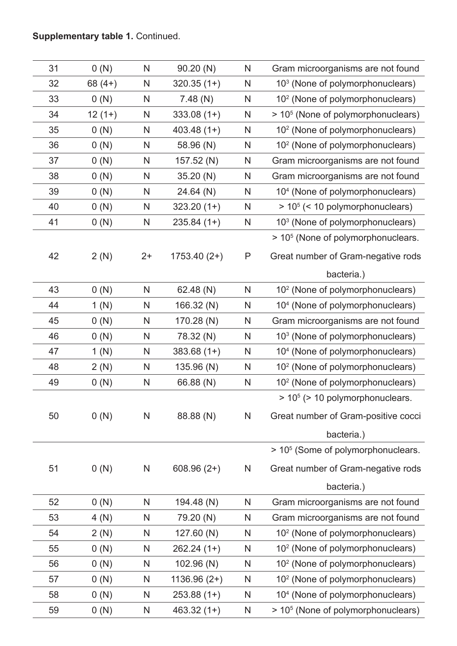## **Supplementary table 1.** Continued.

| 31 | 0(N)     | N    | 90.20(N)      | N            | Gram microorganisms are not found              |
|----|----------|------|---------------|--------------|------------------------------------------------|
| 32 | $68(4+)$ | N    | $320.35(1+)$  | N            | 10 <sup>3</sup> (None of polymorphonuclears)   |
| 33 | 0(N)     | N    | 7.48(N)       | N            | 10 <sup>2</sup> (None of polymorphonuclears)   |
| 34 | $12(1+)$ | N    | $333.08(1+)$  | N            | > 10 <sup>5</sup> (None of polymorphonuclears) |
| 35 | 0(N)     | N    | $403.48(1+)$  | $\mathsf{N}$ | 10 <sup>2</sup> (None of polymorphonuclears)   |
| 36 | 0(N)     | N    | 58.96 (N)     | N            | 10 <sup>2</sup> (None of polymorphonuclears)   |
| 37 | 0(N)     | N    | 157.52 (N)    | $\mathsf{N}$ | Gram microorganisms are not found              |
| 38 | 0(N)     | N    | 35.20 (N)     | N            | Gram microorganisms are not found              |
| 39 | 0(N)     | N    | 24.64 (N)     | $\mathsf{N}$ | 10 <sup>4</sup> (None of polymorphonuclears)   |
| 40 | 0(N)     | N    | $323.20(1+)$  | $\mathsf{N}$ | $> 105$ (< 10 polymorphonuclears)              |
| 41 | 0(N)     | N    | $235.84(1+)$  | N            | 10 <sup>3</sup> (None of polymorphonuclears)   |
|    |          |      |               |              | > 10 <sup>5</sup> (None of polymorphonuclears. |
| 42 | 2(N)     | $2+$ | $1753.40(2+)$ | P            | Great number of Gram-negative rods             |
|    |          |      |               |              | bacteria.)                                     |
| 43 | 0(N)     | N    | 62.48 (N)     | N            | 10 <sup>2</sup> (None of polymorphonuclears)   |
| 44 | 1(N)     | N    | 166.32 (N)    | N            | 10 <sup>4</sup> (None of polymorphonuclears)   |
| 45 | 0(N)     | N    | 170.28 (N)    | N            | Gram microorganisms are not found              |
| 46 | 0(N)     | N    | 78.32 (N)     | $\mathsf{N}$ | 10 <sup>3</sup> (None of polymorphonuclears)   |
| 47 | 1(N)     | N    | $383.68(1+)$  | N            | 10 <sup>4</sup> (None of polymorphonuclears)   |
| 48 | 2(N)     | N    | 135.96 (N)    | N            | 10 <sup>2</sup> (None of polymorphonuclears)   |
| 49 | 0(N)     | N    | 66.88 (N)     | N            | 10 <sup>2</sup> (None of polymorphonuclears)   |
|    |          |      |               |              | $> 105$ ( $> 10$ polymorphonuclears.           |
| 50 | 0(N)     | N    | 88.88 (N)     | N            | Great number of Gram-positive cocci            |
|    |          |      |               |              | bacteria.)                                     |
|    |          |      |               |              | > 10 <sup>5</sup> (Some of polymorphonuclears. |
| 51 | 0(N)     | N    | $608.96(2+)$  | N            | Great number of Gram-negative rods             |
|    |          |      |               |              | bacteria.)                                     |
| 52 | 0(N)     | N    | 194.48 (N)    | N            | Gram microorganisms are not found              |
| 53 | 4(N)     | N    | 79.20 (N)     | N            | Gram microorganisms are not found              |
| 54 | 2(N)     | N    | 127.60 (N)    | N            | 10 <sup>2</sup> (None of polymorphonuclears)   |
| 55 | 0(N)     | N    | $262.24(1+)$  | N            | 10 <sup>2</sup> (None of polymorphonuclears)   |
| 56 | 0(N)     | N    | 102.96 (N)    | N            | 10 <sup>2</sup> (None of polymorphonuclears)   |
| 57 | 0(N)     | N    | $1136.96(2+)$ | N            | 10 <sup>2</sup> (None of polymorphonuclears)   |
| 58 | 0(N)     | N    | $253.88(1+)$  | N            | 10 <sup>4</sup> (None of polymorphonuclears)   |
| 59 | 0(N)     | N    | $463.32(1+)$  | N            | > 10 <sup>5</sup> (None of polymorphonuclears) |